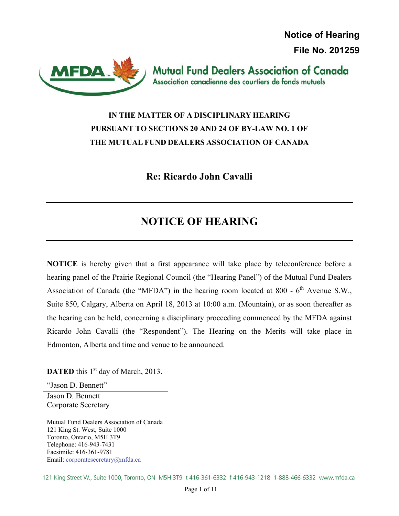**Notice of Hearing File No. 201259**



**Mutual Fund Dealers Association of Canada** Association canadienne des courtiers de fonds mutuels

## **IN THE MATTER OF A DISCIPLINARY HEARING PURSUANT TO SECTIONS 20 AND 24 OF BY-LAW NO. 1 OF THE MUTUAL FUND DEALERS ASSOCIATION OF CANADA**

**Re: Ricardo John Cavalli** 

# **NOTICE OF HEARING**

**NOTICE** is hereby given that a first appearance will take place by teleconference before a hearing panel of the Prairie Regional Council (the "Hearing Panel") of the Mutual Fund Dealers Association of Canada (the "MFDA") in the hearing room located at 800 -  $6<sup>th</sup>$  Avenue S.W., Suite 850, Calgary, Alberta on April 18, 2013 at 10:00 a.m. (Mountain), or as soon thereafter as the hearing can be held, concerning a disciplinary proceeding commenced by the MFDA against Ricardo John Cavalli (the "Respondent"). The Hearing on the Merits will take place in Edmonton, Alberta and time and venue to be announced.

**DATED** this 1<sup>st</sup> day of March, 2013.

"Jason D. Bennett" Jason D. Bennett

Corporate Secretary

Mutual Fund Dealers Association of Canada 121 King St. West, Suite 1000 Toronto, Ontario, M5H 3T9 Telephone: 416-943-7431 Facsimile: 416-361-9781 Email: corporatesecretary@mfda.ca

121 King Street W., Suite 1000, Toronto, ON M5H 3T9 t 416-361-6332 f 416-943-1218 1-888-466-6332 www.mfda.ca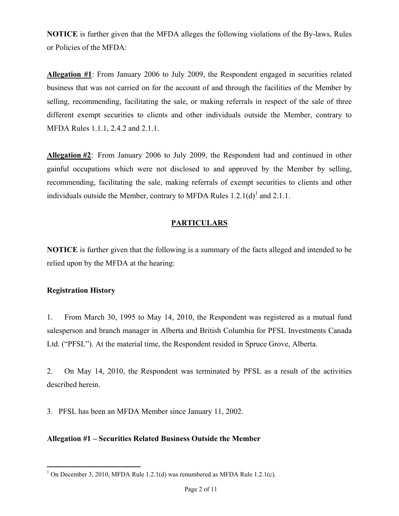**NOTICE** is further given that the MFDA alleges the following violations of the By-laws, Rules or Policies of the MFDA:

**Allegation #1**: From January 2006 to July 2009, the Respondent engaged in securities related business that was not carried on for the account of and through the facilities of the Member by selling, recommending, facilitating the sale, or making referrals in respect of the sale of three different exempt securities to clients and other individuals outside the Member, contrary to MFDA Rules 1.1.1, 2.4.2 and 2.1.1.

**Allegation #2**: From January 2006 to July 2009, the Respondent had and continued in other gainful occupations which were not disclosed to and approved by the Member by selling, recommending, facilitating the sale, making referrals of exempt securities to clients and other individuals outside the Member, contrary to MFDA Rules  $1.2.1(d)^{1}$  and  $2.1.1$ .

## **PARTICULARS**

**NOTICE** is further given that the following is a summary of the facts alleged and intended to be relied upon by the MFDA at the hearing:

## **Registration History**

1. From March 30, 1995 to May 14, 2010, the Respondent was registered as a mutual fund salesperson and branch manager in Alberta and British Columbia for PFSL Investments Canada Ltd. ("PFSL"). At the material time, the Respondent resided in Spruce Grove, Alberta.

2. On May 14, 2010, the Respondent was terminated by PFSL as a result of the activities described herein.

3. PFSL has been an MFDA Member since January 11, 2002.

## **Allegation #1 – Securities Related Business Outside the Member**

<sup>1</sup> <sup>1</sup> On December 3, 2010, MFDA Rule 1.2.1(d) was renumbered as MFDA Rule 1.2.1(c).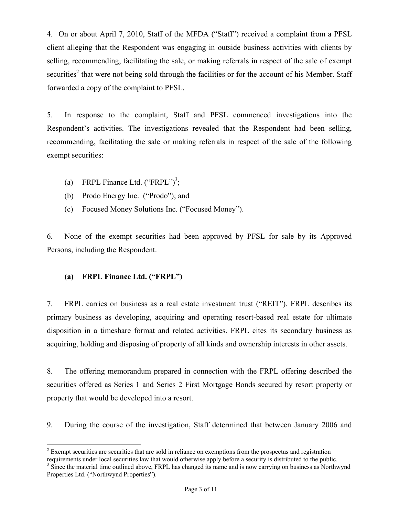4. On or about April 7, 2010, Staff of the MFDA ("Staff") received a complaint from a PFSL client alleging that the Respondent was engaging in outside business activities with clients by selling, recommending, facilitating the sale, or making referrals in respect of the sale of exempt securities<sup>2</sup> that were not being sold through the facilities or for the account of his Member. Staff forwarded a copy of the complaint to PFSL.

5. In response to the complaint, Staff and PFSL commenced investigations into the Respondent's activities. The investigations revealed that the Respondent had been selling, recommending, facilitating the sale or making referrals in respect of the sale of the following exempt securities:

- (a) FRPL Finance Ltd.  $("FRPL")^3$ ;
- (b) Prodo Energy Inc. ("Prodo"); and
- (c) Focused Money Solutions Inc. ("Focused Money").

6. None of the exempt securities had been approved by PFSL for sale by its Approved Persons, including the Respondent.

## **(a) FRPL Finance Ltd. ("FRPL")**

7. FRPL carries on business as a real estate investment trust ("REIT"). FRPL describes its primary business as developing, acquiring and operating resort-based real estate for ultimate disposition in a timeshare format and related activities. FRPL cites its secondary business as acquiring, holding and disposing of property of all kinds and ownership interests in other assets.

8. The offering memorandum prepared in connection with the FRPL offering described the securities offered as Series 1 and Series 2 First Mortgage Bonds secured by resort property or property that would be developed into a resort.

9. During the course of the investigation, Staff determined that between January 2006 and

 $\overline{a}$ 

 $2^{2}$  Exempt securities are securities that are sold in reliance on exemptions from the prospectus and registration

requirements under local securities law that would otherwise apply before a security is distributed to the public. <sup>3</sup> Since the material time outlined above, FRPL has changed its name and is now carrying on business as Northwynd

Properties Ltd. ("Northwynd Properties").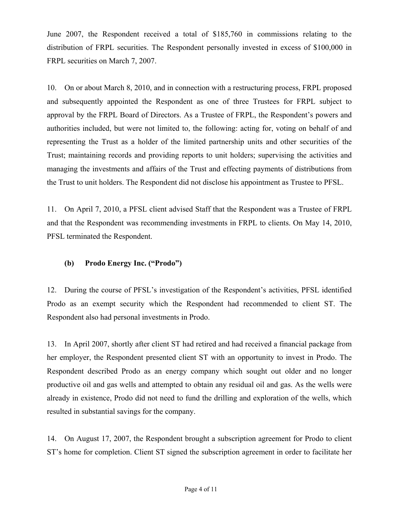June 2007, the Respondent received a total of \$185,760 in commissions relating to the distribution of FRPL securities. The Respondent personally invested in excess of \$100,000 in FRPL securities on March 7, 2007.

10. On or about March 8, 2010, and in connection with a restructuring process, FRPL proposed and subsequently appointed the Respondent as one of three Trustees for FRPL subject to approval by the FRPL Board of Directors. As a Trustee of FRPL, the Respondent's powers and authorities included, but were not limited to, the following: acting for, voting on behalf of and representing the Trust as a holder of the limited partnership units and other securities of the Trust; maintaining records and providing reports to unit holders; supervising the activities and managing the investments and affairs of the Trust and effecting payments of distributions from the Trust to unit holders. The Respondent did not disclose his appointment as Trustee to PFSL.

11. On April 7, 2010, a PFSL client advised Staff that the Respondent was a Trustee of FRPL and that the Respondent was recommending investments in FRPL to clients. On May 14, 2010, PFSL terminated the Respondent.

## **(b) Prodo Energy Inc. ("Prodo")**

12. During the course of PFSL's investigation of the Respondent's activities, PFSL identified Prodo as an exempt security which the Respondent had recommended to client ST. The Respondent also had personal investments in Prodo.

13. In April 2007, shortly after client ST had retired and had received a financial package from her employer, the Respondent presented client ST with an opportunity to invest in Prodo. The Respondent described Prodo as an energy company which sought out older and no longer productive oil and gas wells and attempted to obtain any residual oil and gas. As the wells were already in existence, Prodo did not need to fund the drilling and exploration of the wells, which resulted in substantial savings for the company.

14. On August 17, 2007, the Respondent brought a subscription agreement for Prodo to client ST's home for completion. Client ST signed the subscription agreement in order to facilitate her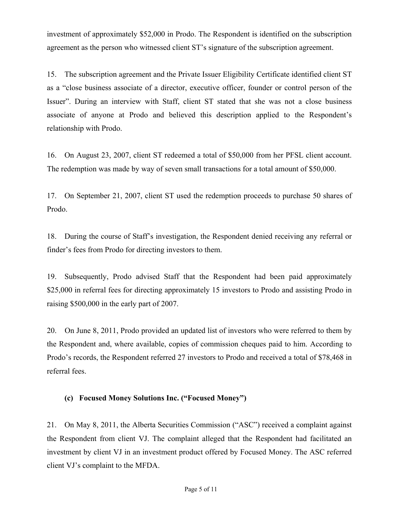investment of approximately \$52,000 in Prodo. The Respondent is identified on the subscription agreement as the person who witnessed client ST's signature of the subscription agreement.

15. The subscription agreement and the Private Issuer Eligibility Certificate identified client ST as a "close business associate of a director, executive officer, founder or control person of the Issuer". During an interview with Staff, client ST stated that she was not a close business associate of anyone at Prodo and believed this description applied to the Respondent's relationship with Prodo.

16. On August 23, 2007, client ST redeemed a total of \$50,000 from her PFSL client account. The redemption was made by way of seven small transactions for a total amount of \$50,000.

17. On September 21, 2007, client ST used the redemption proceeds to purchase 50 shares of Prodo.

18. During the course of Staff's investigation, the Respondent denied receiving any referral or finder's fees from Prodo for directing investors to them.

19. Subsequently, Prodo advised Staff that the Respondent had been paid approximately \$25,000 in referral fees for directing approximately 15 investors to Prodo and assisting Prodo in raising \$500,000 in the early part of 2007.

20. On June 8, 2011, Prodo provided an updated list of investors who were referred to them by the Respondent and, where available, copies of commission cheques paid to him. According to Prodo's records, the Respondent referred 27 investors to Prodo and received a total of \$78,468 in referral fees.

## **(c) Focused Money Solutions Inc. ("Focused Money")**

21. On May 8, 2011, the Alberta Securities Commission ("ASC") received a complaint against the Respondent from client VJ. The complaint alleged that the Respondent had facilitated an investment by client VJ in an investment product offered by Focused Money. The ASC referred client VJ's complaint to the MFDA.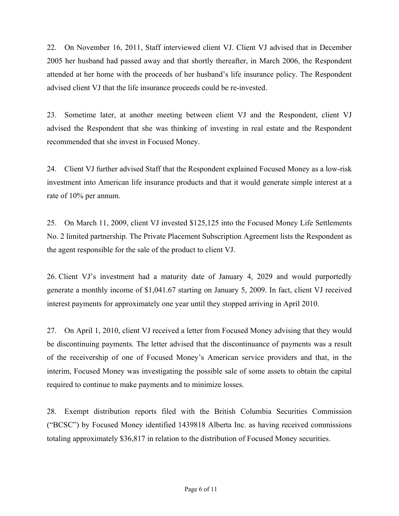22. On November 16, 2011, Staff interviewed client VJ. Client VJ advised that in December 2005 her husband had passed away and that shortly thereafter, in March 2006, the Respondent attended at her home with the proceeds of her husband's life insurance policy. The Respondent advised client VJ that the life insurance proceeds could be re-invested.

23. Sometime later, at another meeting between client VJ and the Respondent, client VJ advised the Respondent that she was thinking of investing in real estate and the Respondent recommended that she invest in Focused Money.

24. Client VJ further advised Staff that the Respondent explained Focused Money as a low-risk investment into American life insurance products and that it would generate simple interest at a rate of 10% per annum.

25. On March 11, 2009, client VJ invested \$125,125 into the Focused Money Life Settlements No. 2 limited partnership. The Private Placement Subscription Agreement lists the Respondent as the agent responsible for the sale of the product to client VJ.

26. Client VJ's investment had a maturity date of January 4, 2029 and would purportedly generate a monthly income of \$1,041.67 starting on January 5, 2009. In fact, client VJ received interest payments for approximately one year until they stopped arriving in April 2010.

27. On April 1, 2010, client VJ received a letter from Focused Money advising that they would be discontinuing payments. The letter advised that the discontinuance of payments was a result of the receivership of one of Focused Money's American service providers and that, in the interim, Focused Money was investigating the possible sale of some assets to obtain the capital required to continue to make payments and to minimize losses.

28. Exempt distribution reports filed with the British Columbia Securities Commission ("BCSC") by Focused Money identified 1439818 Alberta Inc. as having received commissions totaling approximately \$36,817 in relation to the distribution of Focused Money securities.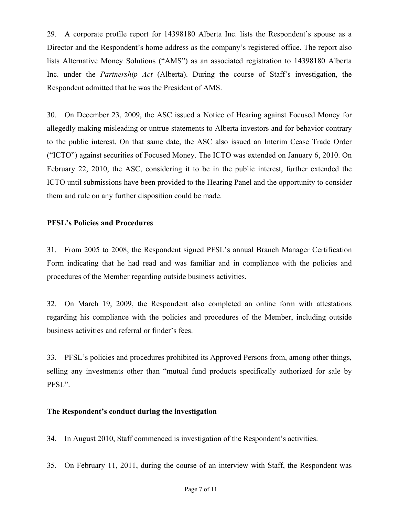29. A corporate profile report for 14398180 Alberta Inc. lists the Respondent's spouse as a Director and the Respondent's home address as the company's registered office. The report also lists Alternative Money Solutions ("AMS") as an associated registration to 14398180 Alberta Inc. under the *Partnership Act* (Alberta). During the course of Staff's investigation, the Respondent admitted that he was the President of AMS.

30. On December 23, 2009, the ASC issued a Notice of Hearing against Focused Money for allegedly making misleading or untrue statements to Alberta investors and for behavior contrary to the public interest. On that same date, the ASC also issued an Interim Cease Trade Order ("ICTO") against securities of Focused Money. The ICTO was extended on January 6, 2010. On February 22, 2010, the ASC, considering it to be in the public interest, further extended the ICTO until submissions have been provided to the Hearing Panel and the opportunity to consider them and rule on any further disposition could be made.

### **PFSL's Policies and Procedures**

31. From 2005 to 2008, the Respondent signed PFSL's annual Branch Manager Certification Form indicating that he had read and was familiar and in compliance with the policies and procedures of the Member regarding outside business activities.

32. On March 19, 2009, the Respondent also completed an online form with attestations regarding his compliance with the policies and procedures of the Member, including outside business activities and referral or finder's fees.

33. PFSL's policies and procedures prohibited its Approved Persons from, among other things, selling any investments other than "mutual fund products specifically authorized for sale by PFSL".

## **The Respondent's conduct during the investigation**

34. In August 2010, Staff commenced is investigation of the Respondent's activities.

35. On February 11, 2011, during the course of an interview with Staff, the Respondent was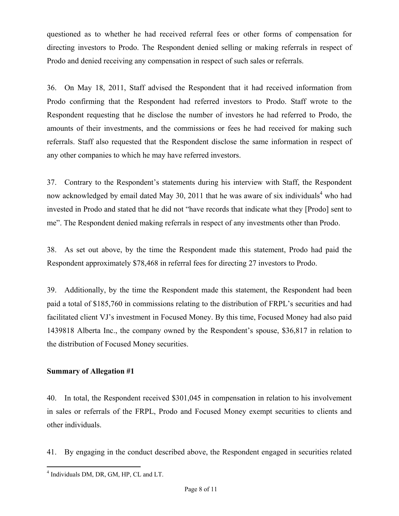questioned as to whether he had received referral fees or other forms of compensation for directing investors to Prodo. The Respondent denied selling or making referrals in respect of Prodo and denied receiving any compensation in respect of such sales or referrals.

36. On May 18, 2011, Staff advised the Respondent that it had received information from Prodo confirming that the Respondent had referred investors to Prodo. Staff wrote to the Respondent requesting that he disclose the number of investors he had referred to Prodo, the amounts of their investments, and the commissions or fees he had received for making such referrals. Staff also requested that the Respondent disclose the same information in respect of any other companies to which he may have referred investors.

37. Contrary to the Respondent's statements during his interview with Staff, the Respondent now acknowledged by email dated May 30, 2011 that he was aware of six individuals<sup>4</sup> who had invested in Prodo and stated that he did not "have records that indicate what they [Prodo] sent to me". The Respondent denied making referrals in respect of any investments other than Prodo.

38. As set out above, by the time the Respondent made this statement, Prodo had paid the Respondent approximately \$78,468 in referral fees for directing 27 investors to Prodo.

39. Additionally, by the time the Respondent made this statement, the Respondent had been paid a total of \$185,760 in commissions relating to the distribution of FRPL's securities and had facilitated client VJ's investment in Focused Money. By this time, Focused Money had also paid 1439818 Alberta Inc., the company owned by the Respondent's spouse, \$36,817 in relation to the distribution of Focused Money securities.

#### **Summary of Allegation #1**

40. In total, the Respondent received \$301,045 in compensation in relation to his involvement in sales or referrals of the FRPL, Prodo and Focused Money exempt securities to clients and other individuals.

41. By engaging in the conduct described above, the Respondent engaged in securities related

1

<sup>4</sup> Individuals DM, DR, GM, HP, CL and LT.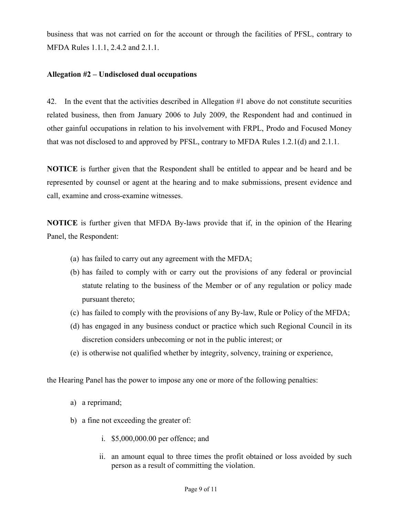business that was not carried on for the account or through the facilities of PFSL, contrary to MFDA Rules 1.1.1, 2.4.2 and 2.1.1.

#### **Allegation #2 – Undisclosed dual occupations**

42. In the event that the activities described in Allegation #1 above do not constitute securities related business, then from January 2006 to July 2009, the Respondent had and continued in other gainful occupations in relation to his involvement with FRPL, Prodo and Focused Money that was not disclosed to and approved by PFSL, contrary to MFDA Rules 1.2.1(d) and 2.1.1.

**NOTICE** is further given that the Respondent shall be entitled to appear and be heard and be represented by counsel or agent at the hearing and to make submissions, present evidence and call, examine and cross-examine witnesses.

**NOTICE** is further given that MFDA By-laws provide that if, in the opinion of the Hearing Panel, the Respondent:

- (a) has failed to carry out any agreement with the MFDA;
- (b) has failed to comply with or carry out the provisions of any federal or provincial statute relating to the business of the Member or of any regulation or policy made pursuant thereto;
- (c) has failed to comply with the provisions of any By-law, Rule or Policy of the MFDA;
- (d) has engaged in any business conduct or practice which such Regional Council in its discretion considers unbecoming or not in the public interest; or
- (e) is otherwise not qualified whether by integrity, solvency, training or experience,

the Hearing Panel has the power to impose any one or more of the following penalties:

- a) a reprimand;
- b) a fine not exceeding the greater of:
	- i. \$5,000,000.00 per offence; and
	- ii. an amount equal to three times the profit obtained or loss avoided by such person as a result of committing the violation.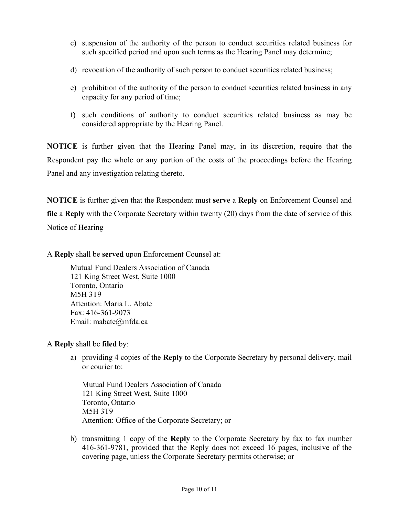- c) suspension of the authority of the person to conduct securities related business for such specified period and upon such terms as the Hearing Panel may determine;
- d) revocation of the authority of such person to conduct securities related business;
- e) prohibition of the authority of the person to conduct securities related business in any capacity for any period of time;
- f) such conditions of authority to conduct securities related business as may be considered appropriate by the Hearing Panel.

**NOTICE** is further given that the Hearing Panel may, in its discretion, require that the Respondent pay the whole or any portion of the costs of the proceedings before the Hearing Panel and any investigation relating thereto.

**NOTICE** is further given that the Respondent must **serve** a **Reply** on Enforcement Counsel and **file** a **Reply** with the Corporate Secretary within twenty (20) days from the date of service of this Notice of Hearing

A **Reply** shall be **served** upon Enforcement Counsel at:

 Mutual Fund Dealers Association of Canada 121 King Street West, Suite 1000 Toronto, Ontario M5H 3T9 Attention: Maria L. Abate Fax: 416-361-9073 Email: mabate@mfda.ca

A **Reply** shall be **filed** by:

a) providing 4 copies of the **Reply** to the Corporate Secretary by personal delivery, mail or courier to:

Mutual Fund Dealers Association of Canada 121 King Street West, Suite 1000 Toronto, Ontario M5H 3T9 Attention: Office of the Corporate Secretary; or

b) transmitting 1 copy of the **Reply** to the Corporate Secretary by fax to fax number 416-361-9781, provided that the Reply does not exceed 16 pages, inclusive of the covering page, unless the Corporate Secretary permits otherwise; or